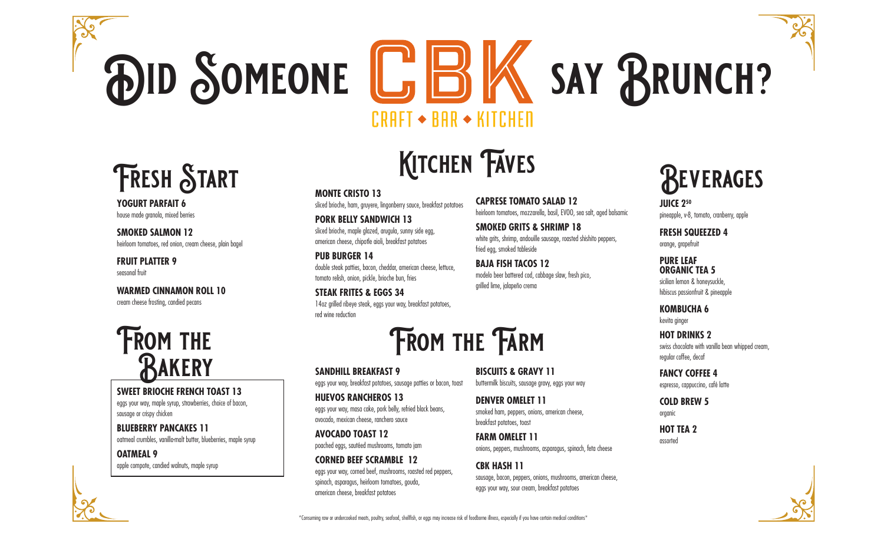# **DID SOMEONE L'BK SAY BRUNCH?**  $CRAFT \rightarrow BAR \rightarrow KITCHEN$

### **Fresh Start**

**YOGURT PARFAIT 6**  house made granola, mixed berries

**SMOKED SALMON 12** heirloom tomatoes, red onion, cream cheese, plain bagel

#### **FRUIT PLATTER 9**  seasonal fruit

**WARMED CINNAMON ROLL 10**  cream cheese frosting, candied pecans

### **FROM THE Bakery**

#### **SWEET BRIOCHE FRENCH TOAST 13**

eggs your way, maple syrup, strawberries, choice of bacon, sausage or crispy chicken

#### **BLUEBERRY PANCAKES 11**  oatmeal crumbles, vanilla-malt butter, blueberries, maple syrup

**OATMEAL 9**  apple compote, candied walnuts, maple syrup

## **KITCHEN FAVES**

**MONTE CRISTO 13**  sliced brioche, ham, gruyere, lingonberry sauce, breakfast potatoes **CAPRESE TOMATO SALAD 12**  heirloom tomatoes, mozzarella, basil, EVOO, sea salt, aged balsamic

**PORK BELLY SANDWICH 13**  sliced brioche, maple glazed, arugula, sunny side egg, american cheese, chipotle aioli, breakfast potatoes

**PUB BURGER 14**  double steak patties, bacon, cheddar, american cheese, lettuce, tomato relish, onion, pickle, brioche bun, fries

**STEAK FRITES & EGGS 34**  14oz grilled ribeye steak, eggs your way, breakfast potatoes, red wine reduction



**SANDHILL BREAKFAST 9**  eggs your way, breakfast potatoes, sausage patties or bacon, toast

**HUEVOS RANCHEROS 13**  eggs your way, masa cake, pork belly, refried black beans, avocado, mexican cheese, ranchero sauce

**AVOCADO TOAST 12**  poached eggs, sautéed mushrooms, tomato jam

**CORNED BEEF SCRAMBLE 12**  eggs your way, corned beef, mushrooms, roasted red peppers, spinach, asparagus, heirloom tomatoes, gouda, american cheese, breakfast potatoes

**BISCUITS & GRAVY 11**  buttermilk biscuits, sausage gravy, eggs your way

**SMOKED GRITS & SHRIMP 18** 

modelo beer battered cod, cabbage slaw, fresh pico,

fried egg, smoked tableside **BAJA FISH TACOS 12**

grilled lime, jalapeño crema

white grits, shrimp, andouille sausage, roasted shishito peppers,

**DENVER OMELET 11**  smoked ham, peppers, onions, american cheese, breakfast potatoes, toast

**FARM OMELET 11**  onions, peppers, mushrooms, asparagus, spinach, feta cheese

**CBK HASH 11**  sausage, bacon, peppers, onions, mushrooms, american cheese, eggs your way, sour cream, breakfast potatoes

### **Beverages**

**JUICE 250** pineapple, v-8, tomato, cranberry, apple

**FRESH SQUEEZED 4** orange, grapefruit

**PURE LEAF ORGANIC TEA 5** sicilian lemon & honeysuckle, hibiscus passionfruit & pineapple

**KOMBUCHA 6**  kevita ginger

**HOT DRINKS 2** swiss chocolate with vanilla bean whipped cream, regular coffee, decaf

**FANCY COFFEE 4**  espresso, cappuccino, café latte

**COLD BREW 5**  organic

**HOT TEA 2**  assorted



\*Consuming raw or undercooked meats, poultry, seafood, shellfish, or eggs may increase risk of foodborne illness, especially if you have certain medical conditions\*